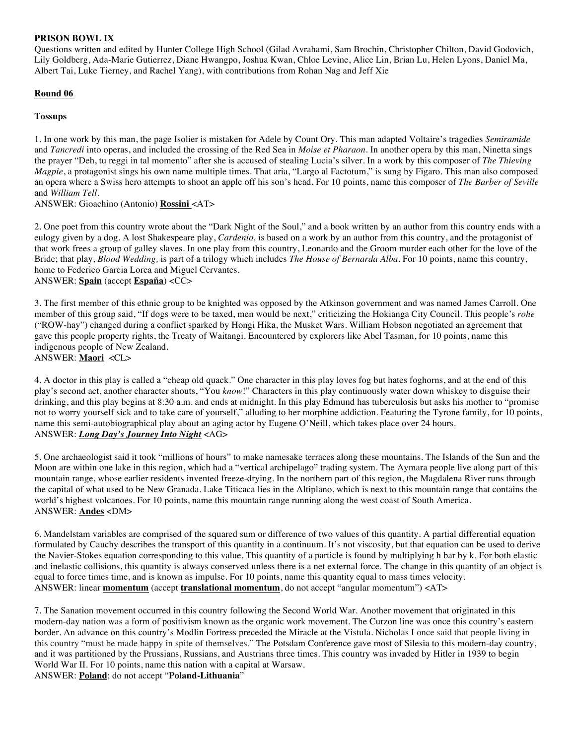### **PRISON BOWL IX**

Questions written and edited by Hunter College High School (Gilad Avrahami, Sam Brochin, Christopher Chilton, David Godovich, Lily Goldberg, Ada-Marie Gutierrez, Diane Hwangpo, Joshua Kwan, Chloe Levine, Alice Lin, Brian Lu, Helen Lyons, Daniel Ma, Albert Tai, Luke Tierney, and Rachel Yang), with contributions from Rohan Nag and Jeff Xie

# **Round 06**

### **Tossups**

1. In one work by this man, the page Isolier is mistaken for Adele by Count Ory. This man adapted Voltaire's tragedies *Semiramide* and *Tancredi* into operas, and included the crossing of the Red Sea in *Moise et Pharaon*. In another opera by this man, Ninetta sings the prayer "Deh, tu reggi in tal momento" after she is accused of stealing Lucia's silver. In a work by this composer of *The Thieving Magpie*, a protagonist sings his own name multiple times. That aria, "Largo al Factotum," is sung by Figaro. This man also composed an opera where a Swiss hero attempts to shoot an apple off his son's head. For 10 points, name this composer of *The Barber of Seville* and *William Tell*.

ANSWER: Gioachino (Antonio) **Rossini** <AT>

2. One poet from this country wrote about the "Dark Night of the Soul," and a book written by an author from this country ends with a eulogy given by a dog. A lost Shakespeare play, *Cardenio,* is based on a work by an author from this country, and the protagonist of that work frees a group of galley slaves. In one play from this country, Leonardo and the Groom murder each other for the love of the Bride; that play, *Blood Wedding,* is part of a trilogy which includes *The House of Bernarda Alba.* For 10 points, name this country, home to Federico Garcia Lorca and Miguel Cervantes. ANSWER: **Spain** (accept **España**) <CC>

3. The first member of this ethnic group to be knighted was opposed by the Atkinson government and was named James Carroll. One member of this group said, "If dogs were to be taxed, men would be next," criticizing the Hokianga City Council. This people's *rohe*  ("ROW-hay") changed during a conflict sparked by Hongi Hika, the Musket Wars. William Hobson negotiated an agreement that gave this people property rights, the Treaty of Waitangi. Encountered by explorers like Abel Tasman, for 10 points, name this indigenous people of New Zealand. ANSWER: **Maori** <CL>

4. A doctor in this play is called a "cheap old quack." One character in this play loves fog but hates foghorns, and at the end of this play's second act, another character shouts, "You *know*!" Characters in this play continuously water down whiskey to disguise their drinking, and this play begins at 8:30 a.m. and ends at midnight. In this play Edmund has tuberculosis but asks his mother to "promise not to worry yourself sick and to take care of yourself," alluding to her morphine addiction. Featuring the Tyrone family, for 10 points, name this semi-autobiographical play about an aging actor by Eugene O'Neill, which takes place over 24 hours. ANSWER: *Long Day's Journey Into Night* <AG>

5. One archaeologist said it took "millions of hours" to make namesake terraces along these mountains. The Islands of the Sun and the Moon are within one lake in this region, which had a "vertical archipelago" trading system. The Aymara people live along part of this mountain range, whose earlier residents invented freeze-drying. In the northern part of this region, the Magdalena River runs through the capital of what used to be New Granada. Lake Titicaca lies in the Altiplano, which is next to this mountain range that contains the world's highest volcanoes. For 10 points, name this mountain range running along the west coast of South America. ANSWER: **Andes** <DM>

6. Mandelstam variables are comprised of the squared sum or difference of two values of this quantity. A partial differential equation formulated by Cauchy describes the transport of this quantity in a continuum. It's not viscosity, but that equation can be used to derive the Navier-Stokes equation corresponding to this value. This quantity of a particle is found by multiplying h bar by k. For both elastic and inelastic collisions, this quantity is always conserved unless there is a net external force. The change in this quantity of an object is equal to force times time, and is known as impulse. For 10 points, name this quantity equal to mass times velocity. ANSWER: linear **momentum** (accept **translational momentum**, do not accept "angular momentum") <AT>

7. The Sanation movement occurred in this country following the Second World War. Another movement that originated in this modern-day nation was a form of positivism known as the organic work movement. The Curzon line was once this country's eastern border. An advance on this country's Modlin Fortress preceded the Miracle at the Vistula. Nicholas I once said that people living in this country "must be made happy in spite of themselves." The Potsdam Conference gave most of Silesia to this modern-day country, and it was partitioned by the Prussians, Russians, and Austrians three times. This country was invaded by Hitler in 1939 to begin World War II. For 10 points, name this nation with a capital at Warsaw.

ANSWER: **Poland**; do not accept "**Poland-Lithuania**"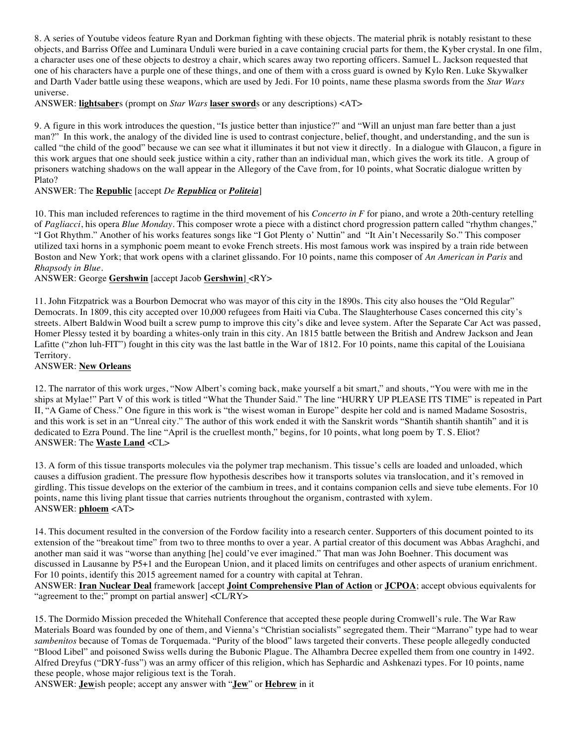8. A series of Youtube videos feature Ryan and Dorkman fighting with these objects. The material phrik is notably resistant to these objects, and Barriss Offee and Luminara Unduli were buried in a cave containing crucial parts for them, the Kyber crystal. In one film, a character uses one of these objects to destroy a chair, which scares away two reporting officers. Samuel L. Jackson requested that one of his characters have a purple one of these things, and one of them with a cross guard is owned by Kylo Ren. Luke Skywalker and Darth Vader battle using these weapons, which are used by Jedi. For 10 points, name these plasma swords from the *Star Wars* universe.

ANSWER: **lightsaber**s (prompt on *Star Wars* **laser sword**s or any descriptions) <AT>

9. A figure in this work introduces the question, "Is justice better than injustice?" and "Will an unjust man fare better than a just man?" In this work, the analogy of the divided line is used to contrast conjecture, belief, thought, and understanding, and the sun is called "the child of the good" because we can see what it illuminates it but not view it directly. In a dialogue with Glaucon, a figure in this work argues that one should seek justice within a city, rather than an individual man, which gives the work its title. A group of prisoners watching shadows on the wall appear in the Allegory of the Cave from, for 10 points, what Socratic dialogue written by Plato?

# ANSWER: The **Republic** [accept *De Republica* or *Politeia*]

10. This man included references to ragtime in the third movement of his *Concerto in F* for piano, and wrote a 20th-century retelling of *Pagliacci*, his opera *Blue Monday*. This composer wrote a piece with a distinct chord progression pattern called "rhythm changes," "I Got Rhythm." Another of his works features songs like "I Got Plenty o' Nuttin" and "It Ain't Necessarily So." This composer utilized taxi horns in a symphonic poem meant to evoke French streets. His most famous work was inspired by a train ride between Boston and New York; that work opens with a clarinet glissando. For 10 points, name this composer of *An American in Paris* and *Rhapsody in Blue.*

ANSWER: George **Gershwin** [accept Jacob **Gershwin**] <RY>

11. John Fitzpatrick was a Bourbon Democrat who was mayor of this city in the 1890s. This city also houses the "Old Regular" Democrats. In 1809, this city accepted over 10,000 refugees from Haiti via Cuba. The Slaughterhouse Cases concerned this city's streets. Albert Baldwin Wood built a screw pump to improve this city's dike and levee system. After the Separate Car Act was passed, Homer Plessy tested it by boarding a whites-only train in this city. An 1815 battle between the British and Andrew Jackson and Jean Lafitte ("zhon luh-FIT") fought in this city was the last battle in the War of 1812. For 10 points, name this capital of the Louisiana Territory.

#### ANSWER: **New Orleans**

12. The narrator of this work urges, "Now Albert's coming back, make yourself a bit smart," and shouts, "You were with me in the ships at Mylae!" Part V of this work is titled "What the Thunder Said." The line "HURRY UP PLEASE ITS TIME" is repeated in Part II, "A Game of Chess." One figure in this work is "the wisest woman in Europe" despite her cold and is named Madame Sosostris, and this work is set in an "Unreal city." The author of this work ended it with the Sanskrit words "Shantih shantih shantih" and it is dedicated to Ezra Pound. The line "April is the cruellest month," begins, for 10 points, what long poem by T. S. Eliot? ANSWER: The **Waste Land** <CL>

13. A form of this tissue transports molecules via the polymer trap mechanism. This tissue's cells are loaded and unloaded, which causes a diffusion gradient. The pressure flow hypothesis describes how it transports solutes via translocation, and it's removed in girdling. This tissue develops on the exterior of the cambium in trees, and it contains companion cells and sieve tube elements. For 10 points, name this living plant tissue that carries nutrients throughout the organism, contrasted with xylem. ANSWER: **phloem** <AT>

14. This document resulted in the conversion of the Fordow facility into a research center. Supporters of this document pointed to its extension of the "breakout time" from two to three months to over a year. A partial creator of this document was Abbas Araghchi, and another man said it was "worse than anything [he] could've ever imagined." That man was John Boehner. This document was discussed in Lausanne by P5+1 and the European Union, and it placed limits on centrifuges and other aspects of uranium enrichment. For 10 points, identify this 2015 agreement named for a country with capital at Tehran.

ANSWER: **Iran Nuclear Deal** framework [accept **Joint Comprehensive Plan of Action** or **JCPOA**; accept obvious equivalents for "agreement to the;" prompt on partial answer] <CL/RY>

15. The Dormido Mission preceded the Whitehall Conference that accepted these people during Cromwell's rule. The War Raw Materials Board was founded by one of them, and Vienna's "Christian socialists" segregated them. Their "Marrano" type had to wear *sambenitos* because of Tomas de Torquemada. "Purity of the blood" laws targeted their converts. These people allegedly conducted "Blood Libel" and poisoned Swiss wells during the Bubonic Plague. The Alhambra Decree expelled them from one country in 1492. Alfred Dreyfus ("DRY-fuss") was an army officer of this religion, which has Sephardic and Ashkenazi types. For 10 points, name these people, whose major religious text is the Torah.

ANSWER: **Jew**ish people; accept any answer with "**Jew**" or **Hebrew** in it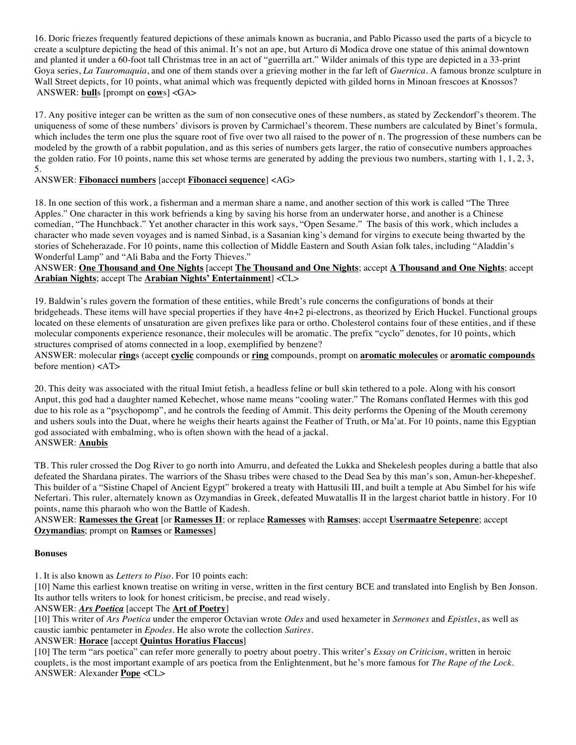16. Doric friezes frequently featured depictions of these animals known as bucrania, and Pablo Picasso used the parts of a bicycle to create a sculpture depicting the head of this animal. It's not an ape, but Arturo di Modica drove one statue of this animal downtown and planted it under a 60-foot tall Christmas tree in an act of "guerrilla art." Wilder animals of this type are depicted in a 33-print Goya series, *La Tauromaquia*, and one of them stands over a grieving mother in the far left of *Guernica*. A famous bronze sculpture in Wall Street depicts, for 10 points, what animal which was frequently depicted with gilded horns in Minoan frescoes at Knossos? ANSWER: **bull**s [prompt on **cow**s] <GA>

17. Any positive integer can be written as the sum of non consecutive ones of these numbers, as stated by Zeckendorf's theorem. The uniqueness of some of these numbers' divisors is proven by Carmichael's theorem. These numbers are calculated by Binet's formula, which includes the term one plus the square root of five over two all raised to the power of n. The progression of these numbers can be modeled by the growth of a rabbit population, and as this series of numbers gets larger, the ratio of consecutive numbers approaches the golden ratio. For 10 points, name this set whose terms are generated by adding the previous two numbers, starting with  $1, 1, 2, 3$ , 5.

### ANSWER: **Fibonacci numbers** [accept **Fibonacci sequence**] <AG>

18. In one section of this work, a fisherman and a merman share a name, and another section of this work is called "The Three Apples." One character in this work befriends a king by saving his horse from an underwater horse, and another is a Chinese comedian, "The Hunchback." Yet another character in this work says, "Open Sesame." The basis of this work, which includes a character who made seven voyages and is named Sinbad, is a Sasanian king's demand for virgins to execute being thwarted by the stories of Scheherazade. For 10 points, name this collection of Middle Eastern and South Asian folk tales, including "Aladdin's Wonderful Lamp" and "Ali Baba and the Forty Thieves."

#### ANSWER: **One Thousand and One Nights** [accept **The Thousand and One Nights**; accept **A Thousand and One Nights**; accept **Arabian Nights**; accept The **Arabian Nights' Entertainment**] <CL>

19. Baldwin's rules govern the formation of these entities, while Bredt's rule concerns the configurations of bonds at their bridgeheads. These items will have special properties if they have 4n+2 pi-electrons, as theorized by Erich Huckel. Functional groups located on these elements of unsaturation are given prefixes like para or ortho. Cholesterol contains four of these entities, and if these molecular components experience resonance, their molecules will be aromatic. The prefix "cyclo" denotes, for 10 points, which structures comprised of atoms connected in a loop, exemplified by benzene?

ANSWER: molecular **ring**s (accept **cyclic** compounds or **ring** compounds, prompt on **aromatic molecules** or **aromatic compounds** before mention) <AT>

20. This deity was associated with the ritual Imiut fetish, a headless feline or bull skin tethered to a pole. Along with his consort Anput, this god had a daughter named Kebechet, whose name means "cooling water." The Romans conflated Hermes with this god due to his role as a "psychopomp", and he controls the feeding of Ammit. This deity performs the Opening of the Mouth ceremony and ushers souls into the Duat, where he weighs their hearts against the Feather of Truth, or Ma'at. For 10 points, name this Egyptian god associated with embalming, who is often shown with the head of a jackal. ANSWER: **Anubis**

TB. This ruler crossed the Dog River to go north into Amurru, and defeated the Lukka and Shekelesh peoples during a battle that also defeated the Shardana pirates. The warriors of the Shasu tribes were chased to the Dead Sea by this man's son, Amun-her-khepeshef. This builder of a "Sistine Chapel of Ancient Egypt" brokered a treaty with Hattusili III, and built a temple at Abu Simbel for his wife Nefertari. This ruler, alternately known as Ozymandias in Greek, defeated Muwatallis II in the largest chariot battle in history. For 10 points, name this pharaoh who won the Battle of Kadesh.

#### ANSWER: **Ramesses the Great** [or **Ramesses II**; or replace **Ramesses** with **Ramses**; accept **Usermaatre Setepenre**; accept **Ozymandias**; prompt on **Ramses** or **Ramesses**]

#### **Bonuses**

1. It is also known as *Letters to Piso*. For 10 points each:

[10] Name this earliest known treatise on writing in verse, written in the first century BCE and translated into English by Ben Jonson. Its author tells writers to look for honest criticism, be precise, and read wisely.

#### ANSWER: *Ars Poetica* [accept The **Art of Poetry**]

[10] This writer of *Ars Poetica* under the emperor Octavian wrote *Odes* and used hexameter in *Sermones* and *Epistles*, as well as caustic iambic pentameter in *Epodes*. He also wrote the collection *Satires*.

### ANSWER: **Horace** [accept **Quintus Horatius Flaccus**]

[10] The term "ars poetica" can refer more generally to poetry about poetry. This writer's *Essay on Criticism*, written in heroic couplets, is the most important example of ars poetica from the Enlightenment, but he's more famous for *The Rape of the Lock.* ANSWER: Alexander **Pope** <CL>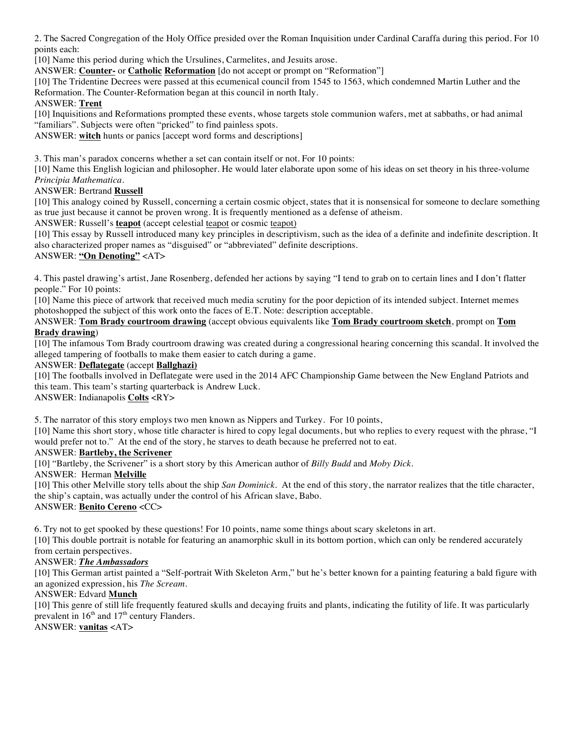2. The Sacred Congregation of the Holy Office presided over the Roman Inquisition under Cardinal Caraffa during this period. For 10 points each:

[10] Name this period during which the Ursulines, Carmelites, and Jesuits arose.

ANSWER: **Counter-** or **Catholic Reformation** [do not accept or prompt on "Reformation"]

[10] The Tridentine Decrees were passed at this ecumenical council from 1545 to 1563, which condemned Martin Luther and the Reformation. The Counter-Reformation began at this council in north Italy.

### ANSWER: **Trent**

[10] Inquisitions and Reformations prompted these events, whose targets stole communion wafers, met at sabbaths, or had animal "familiars". Subjects were often "pricked" to find painless spots.

ANSWER: **witch** hunts or panics [accept word forms and descriptions]

3. This man's paradox concerns whether a set can contain itself or not. For 10 points:

[10] Name this English logician and philosopher. He would later elaborate upon some of his ideas on set theory in his three-volume *Principia Mathematica*.

### ANSWER: Bertrand **Russell**

[10] This analogy coined by Russell, concerning a certain cosmic object, states that it is nonsensical for someone to declare something as true just because it cannot be proven wrong. It is frequently mentioned as a defense of atheism.

ANSWER: Russell's **teapot** (accept celestial teapot or cosmic teapot)

[10] This essay by Russell introduced many key principles in descriptivism, such as the idea of a definite and indefinite description. It also characterized proper names as "disguised" or "abbreviated" definite descriptions.

# ANSWER: **"On Denoting"** <AT>

4. This pastel drawing's artist, Jane Rosenberg, defended her actions by saying "I tend to grab on to certain lines and I don't flatter people." For 10 points:

[10] Name this piece of artwork that received much media scrutiny for the poor depiction of its intended subject. Internet memes photoshopped the subject of this work onto the faces of E.T. Note: description acceptable.

#### ANSWER: **Tom Brady courtroom drawing** (accept obvious equivalents like **Tom Brady courtroom sketch**, prompt on **Tom Brady drawing**)

[10] The infamous Tom Brady courtroom drawing was created during a congressional hearing concerning this scandal. It involved the alleged tampering of footballs to make them easier to catch during a game.

### ANSWER: **Deflategate** (accept **Ballghazi)**

[10] The footballs involved in Deflategate were used in the 2014 AFC Championship Game between the New England Patriots and this team. This team's starting quarterback is Andrew Luck.

### ANSWER: Indianapolis **Colts** <RY>

5. The narrator of this story employs two men known as Nippers and Turkey. For 10 points,

[10] Name this short story, whose title character is hired to copy legal documents, but who replies to every request with the phrase, "I would prefer not to." At the end of the story, he starves to death because he preferred not to eat.

#### ANSWER: **Bartleby, the Scrivener**

[10] "Bartleby, the Scrivener" is a short story by this American author of *Billy Budd* and *Moby Dick.*

#### ANSWER: Herman **Melville**

[10] This other Melville story tells about the ship *San Dominick*. At the end of this story, the narrator realizes that the title character, the ship's captain, was actually under the control of his African slave, Babo.

# ANSWER: **Benito Cereno** <CC>

6. Try not to get spooked by these questions! For 10 points, name some things about scary skeletons in art.

[10] This double portrait is notable for featuring an anamorphic skull in its bottom portion, which can only be rendered accurately from certain perspectives.

#### ANSWER: *The Ambassadors*

[10] This German artist painted a "Self-portrait With Skeleton Arm," but he's better known for a painting featuring a bald figure with an agonized expression, his *The Scream*.

#### ANSWER: Edvard **Munch**

[10] This genre of still life frequently featured skulls and decaying fruits and plants, indicating the futility of life. It was particularly prevalent in  $16<sup>th</sup>$  and  $17<sup>th</sup>$  century Flanders.

ANSWER: **vanitas** <AT>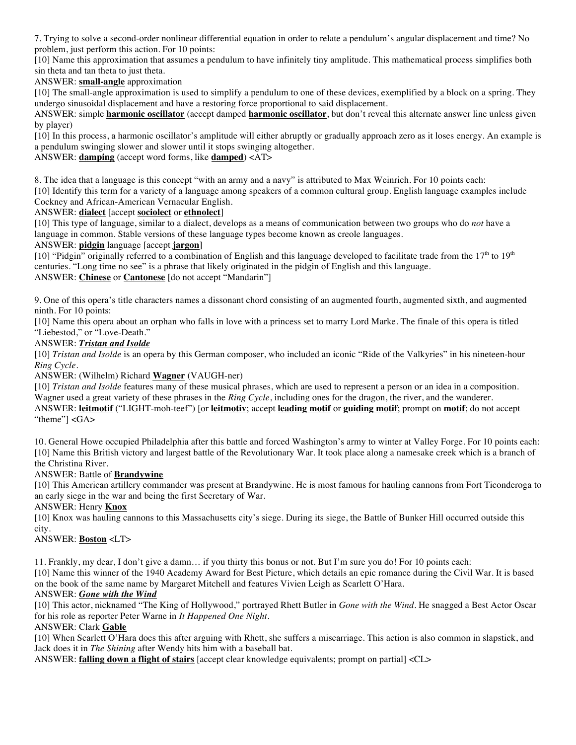7. Trying to solve a second-order nonlinear differential equation in order to relate a pendulum's angular displacement and time? No problem, just perform this action. For 10 points:

[10] Name this approximation that assumes a pendulum to have infinitely tiny amplitude. This mathematical process simplifies both sin theta and tan theta to just theta.

ANSWER: **small-angle** approximation

[10] The small-angle approximation is used to simplify a pendulum to one of these devices, exemplified by a block on a spring. They undergo sinusoidal displacement and have a restoring force proportional to said displacement.

ANSWER: simple **harmonic oscillator** (accept damped **harmonic oscillator**, but don't reveal this alternate answer line unless given by player)

[10] In this process, a harmonic oscillator's amplitude will either abruptly or gradually approach zero as it loses energy. An example is a pendulum swinging slower and slower until it stops swinging altogether.

ANSWER: **damping** (accept word forms, like **damped**) <AT>

8. The idea that a language is this concept "with an army and a navy" is attributed to Max Weinrich. For 10 points each:

[10] Identify this term for a variety of a language among speakers of a common cultural group. English language examples include Cockney and African-American Vernacular English.

### ANSWER: **dialect** [accept **sociolect** or **ethnolect**]

[10] This type of language, similar to a dialect, develops as a means of communication between two groups who do *not* have a language in common. Stable versions of these language types become known as creole languages.

#### ANSWER: **pidgin** language [accept **jargon**]

[10] "Pidgin" originally referred to a combination of English and this language developed to facilitate trade from the  $17<sup>th</sup>$  to  $19<sup>th</sup>$ centuries. "Long time no see" is a phrase that likely originated in the pidgin of English and this language. ANSWER: **Chinese** or **Cantonese** [do not accept "Mandarin"]

9. One of this opera's title characters names a dissonant chord consisting of an augmented fourth, augmented sixth, and augmented ninth. For 10 points:

[10] Name this opera about an orphan who falls in love with a princess set to marry Lord Marke. The finale of this opera is titled "Liebestod," or "Love-Death."

#### ANSWER: *Tristan and Isolde*

[10] *Tristan and Isolde* is an opera by this German composer, who included an iconic "Ride of the Valkyries" in his nineteen-hour *Ring Cycle*.

#### ANSWER: (Wilhelm) Richard **Wagner** (VAUGH-ner)

[10] *Tristan and Isolde* features many of these musical phrases, which are used to represent a person or an idea in a composition. Wagner used a great variety of these phrases in the *Ring Cycle*, including ones for the dragon, the river, and the wanderer. ANSWER: **leitmotif** ("LIGHT-moh-teef") [or **leitmotiv**; accept **leading motif** or **guiding motif**; prompt on **motif**; do not accept "theme"] <GA>

10. General Howe occupied Philadelphia after this battle and forced Washington's army to winter at Valley Forge. For 10 points each: [10] Name this British victory and largest battle of the Revolutionary War. It took place along a namesake creek which is a branch of the Christina River.

#### ANSWER: Battle of **Brandywine**

[10] This American artillery commander was present at Brandywine. He is most famous for hauling cannons from Fort Ticonderoga to an early siege in the war and being the first Secretary of War.

#### ANSWER: Henry **Knox**

[10] Knox was hauling cannons to this Massachusetts city's siege. During its siege, the Battle of Bunker Hill occurred outside this city.

# ANSWER: **Boston** <LT>

11. Frankly, my dear, I don't give a damn… if you thirty this bonus or not. But I'm sure you do! For 10 points each:

[10] Name this winner of the 1940 Academy Award for Best Picture, which details an epic romance during the Civil War. It is based on the book of the same name by Margaret Mitchell and features Vivien Leigh as Scarlett O'Hara.

#### ANSWER: *Gone with the Wind*

[10] This actor, nicknamed "The King of Hollywood," portrayed Rhett Butler in *Gone with the Wind*. He snagged a Best Actor Oscar for his role as reporter Peter Warne in *It Happened One Night*.

#### ANSWER: Clark **Gable**

[10] When Scarlett O'Hara does this after arguing with Rhett, she suffers a miscarriage. This action is also common in slapstick, and Jack does it in *The Shining* after Wendy hits him with a baseball bat.

ANSWER: **falling down a flight of stairs** [accept clear knowledge equivalents; prompt on partial] <CL>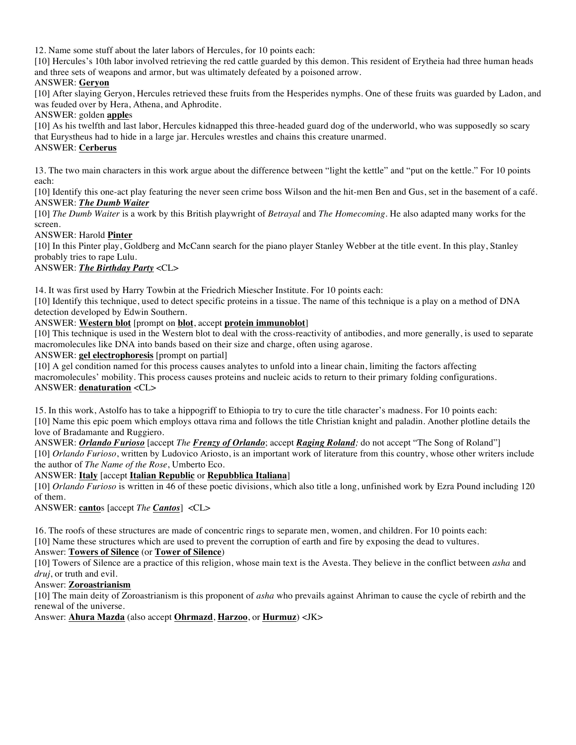12. Name some stuff about the later labors of Hercules, for 10 points each:

[10] Hercules's 10th labor involved retrieving the red cattle guarded by this demon. This resident of Erytheia had three human heads and three sets of weapons and armor, but was ultimately defeated by a poisoned arrow.

### ANSWER: **Geryon**

[10] After slaying Geryon, Hercules retrieved these fruits from the Hesperides nymphs. One of these fruits was guarded by Ladon, and was feuded over by Hera, Athena, and Aphrodite.

#### ANSWER: golden **apple**s

[10] As his twelfth and last labor, Hercules kidnapped this three-headed guard dog of the underworld, who was supposedly so scary that Eurystheus had to hide in a large jar. Hercules wrestles and chains this creature unarmed.

### ANSWER: **Cerberus**

13. The two main characters in this work argue about the difference between "light the kettle" and "put on the kettle." For 10 points each:

[10] Identify this one-act play featuring the never seen crime boss Wilson and the hit-men Ben and Gus, set in the basement of a café. ANSWER: *The Dumb Waiter*

[10] *The Dumb Waiter* is a work by this British playwright of *Betrayal* and *The Homecoming*. He also adapted many works for the screen.

### ANSWER: Harold **Pinter**

[10] In this Pinter play, Goldberg and McCann search for the piano player Stanley Webber at the title event. In this play, Stanley probably tries to rape Lulu.

# ANSWER: *The Birthday Party* <CL>

14. It was first used by Harry Towbin at the Friedrich Miescher Institute. For 10 points each:

[10] Identify this technique, used to detect specific proteins in a tissue. The name of this technique is a play on a method of DNA detection developed by Edwin Southern.

#### ANSWER: **Western blot** [prompt on **blot**, accept **protein immunoblot**]

[10] This technique is used in the Western blot to deal with the cross-reactivity of antibodies, and more generally, is used to separate macromolecules like DNA into bands based on their size and charge, often using agarose.

ANSWER: **gel electrophoresis** [prompt on partial]

[10] A gel condition named for this process causes analytes to unfold into a linear chain, limiting the factors affecting macromolecules' mobility. This process causes proteins and nucleic acids to return to their primary folding configurations. ANSWER: **denaturation** <CL>

15. In this work, Astolfo has to take a hippogriff to Ethiopia to try to cure the title character's madness. For 10 points each: [10] Name this epic poem which employs ottava rima and follows the title Christian knight and paladin. Another plotline details the love of Bradamante and Ruggiero.

ANSWER: *Orlando Furioso* [accept *The Frenzy of Orlando*; accept *Raging Roland;* do not accept "The Song of Roland"] [10] *Orlando Furioso*, written by Ludovico Ariosto, is an important work of literature from this country, whose other writers include the author of *The Name of the Rose*, Umberto Eco.

### ANSWER: **Italy** [accept **Italian Republic** or **Repubblica Italiana**]

[10] *Orlando Furioso* is written in 46 of these poetic divisions, which also title a long, unfinished work by Ezra Pound including 120 of them.

ANSWER: **canto**s [accept *The Cantos*] <CL>

16. The roofs of these structures are made of concentric rings to separate men, women, and children. For 10 points each: [10] Name these structures which are used to prevent the corruption of earth and fire by exposing the dead to vultures.

### Answer: **Towers of Silence** (or **Tower of Silence**)

[10] Towers of Silence are a practice of this religion, whose main text is the Avesta. They believe in the conflict between *asha* and *druj*, or truth and evil.

#### Answer: **Zoroastrianism**

[10] The main deity of Zoroastrianism is this proponent of *asha* who prevails against Ahriman to cause the cycle of rebirth and the renewal of the universe.

Answer: **Ahura Mazda** (also accept **Ohrmazd**, **Harzoo**, or **Hurmuz**) <JK>